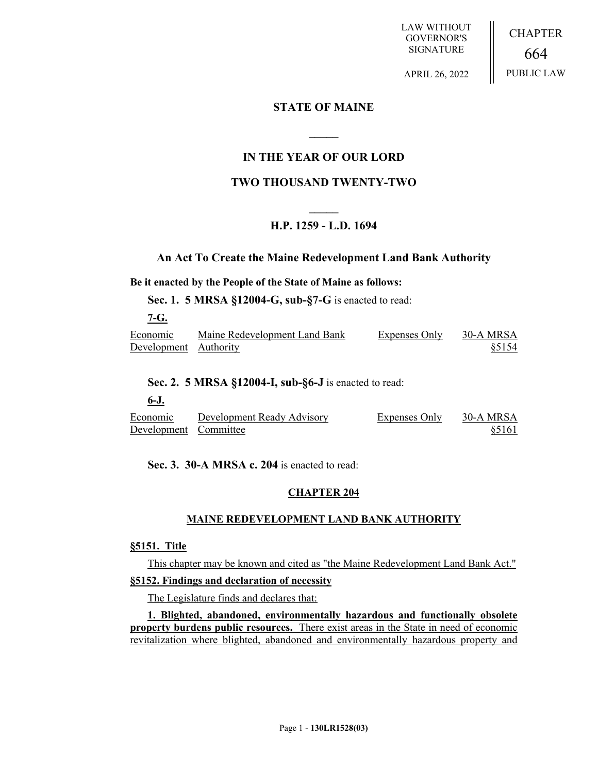LAW WITHOUT GOVERNOR'S SIGNATURE

CHAPTER 664 PUBLIC LAW

APRIL 26, 2022

# **STATE OF MAINE**

# **IN THE YEAR OF OUR LORD**

**\_\_\_\_\_**

# **TWO THOUSAND TWENTY-TWO**

# **\_\_\_\_\_ H.P. 1259 - L.D. 1694**

# **An Act To Create the Maine Redevelopment Land Bank Authority**

# **Be it enacted by the People of the State of Maine as follows:**

**Sec. 1. 5 MRSA §12004-G, sub-§7-G** is enacted to read:

**7-G.** 

| Economic              | Maine Redevelopment Land Bank | <b>Expenses Only</b> | 30-A MRSA |
|-----------------------|-------------------------------|----------------------|-----------|
| Development Authority |                               |                      | \$5154    |

# **Sec. 2. 5 MRSA §12004-I, sub-§6-J** is enacted to read:

**6-J.** 

Economic Development Committee Development Ready Advisory Expenses Only 30-A MRSA §5161

**Sec. 3. 30-A MRSA c. 204** is enacted to read:

# **CHAPTER 204**

# **MAINE REDEVELOPMENT LAND BANK AUTHORITY**

# **§5151. Title**

This chapter may be known and cited as "the Maine Redevelopment Land Bank Act."

# **§5152. Findings and declaration of necessity**

The Legislature finds and declares that:

**1. Blighted, abandoned, environmentally hazardous and functionally obsolete property burdens public resources.** There exist areas in the State in need of economic revitalization where blighted, abandoned and environmentally hazardous property and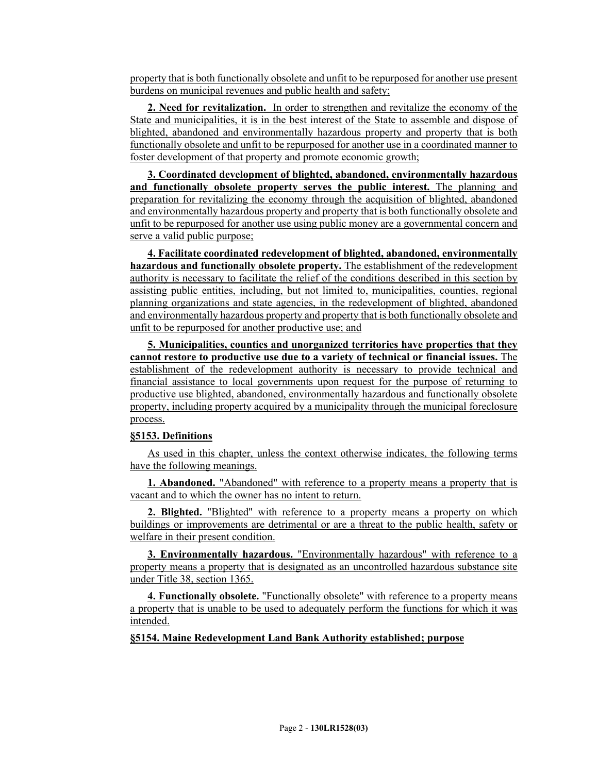property that is both functionally obsolete and unfit to be repurposed for another use present burdens on municipal revenues and public health and safety;

**2. Need for revitalization.** In order to strengthen and revitalize the economy of the State and municipalities, it is in the best interest of the State to assemble and dispose of blighted, abandoned and environmentally hazardous property and property that is both functionally obsolete and unfit to be repurposed for another use in a coordinated manner to foster development of that property and promote economic growth;

**3. Coordinated development of blighted, abandoned, environmentally hazardous and functionally obsolete property serves the public interest.** The planning and preparation for revitalizing the economy through the acquisition of blighted, abandoned and environmentally hazardous property and property that is both functionally obsolete and unfit to be repurposed for another use using public money are a governmental concern and serve a valid public purpose;

**4. Facilitate coordinated redevelopment of blighted, abandoned, environmentally hazardous and functionally obsolete property.** The establishment of the redevelopment authority is necessary to facilitate the relief of the conditions described in this section by assisting public entities, including, but not limited to, municipalities, counties, regional planning organizations and state agencies, in the redevelopment of blighted, abandoned and environmentally hazardous property and property that is both functionally obsolete and unfit to be repurposed for another productive use; and

**5. Municipalities, counties and unorganized territories have properties that they cannot restore to productive use due to a variety of technical or financial issues.** The establishment of the redevelopment authority is necessary to provide technical and financial assistance to local governments upon request for the purpose of returning to productive use blighted, abandoned, environmentally hazardous and functionally obsolete property, including property acquired by a municipality through the municipal foreclosure process.

### **§5153. Definitions**

As used in this chapter, unless the context otherwise indicates, the following terms have the following meanings.

**1. Abandoned.** "Abandoned" with reference to a property means a property that is vacant and to which the owner has no intent to return.

**2. Blighted.** "Blighted" with reference to a property means a property on which buildings or improvements are detrimental or are a threat to the public health, safety or welfare in their present condition.

**3. Environmentally hazardous.** "Environmentally hazardous" with reference to a property means a property that is designated as an uncontrolled hazardous substance site under Title 38, section 1365.

**4. Functionally obsolete.** "Functionally obsolete" with reference to a property means a property that is unable to be used to adequately perform the functions for which it was intended.

**§5154. Maine Redevelopment Land Bank Authority established; purpose**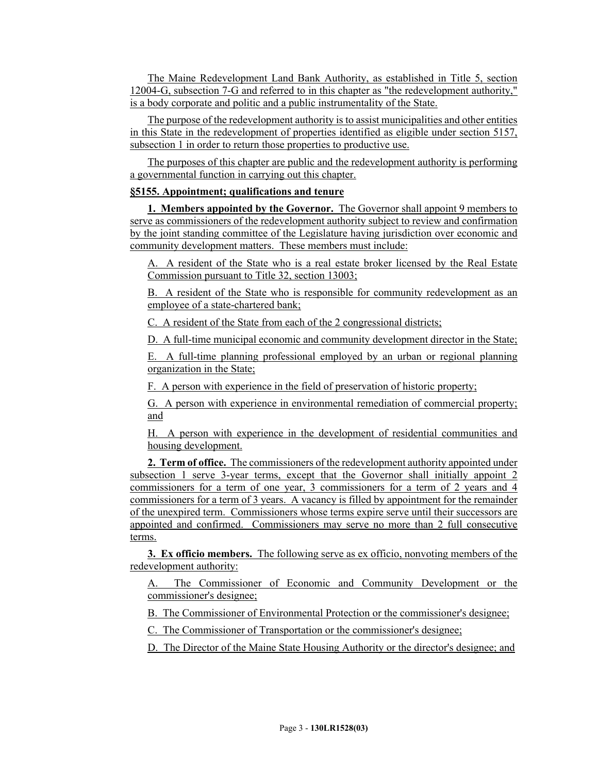The Maine Redevelopment Land Bank Authority, as established in Title 5, section 12004-G, subsection 7-G and referred to in this chapter as "the redevelopment authority," is a body corporate and politic and a public instrumentality of the State.

The purpose of the redevelopment authority is to assist municipalities and other entities in this State in the redevelopment of properties identified as eligible under section 5157, subsection 1 in order to return those properties to productive use.

The purposes of this chapter are public and the redevelopment authority is performing a governmental function in carrying out this chapter.

# **§5155. Appointment; qualifications and tenure**

**1. Members appointed by the Governor.** The Governor shall appoint 9 members to serve as commissioners of the redevelopment authority subject to review and confirmation by the joint standing committee of the Legislature having jurisdiction over economic and community development matters. These members must include:

A. A resident of the State who is a real estate broker licensed by the Real Estate Commission pursuant to Title 32, section 13003;

B. A resident of the State who is responsible for community redevelopment as an employee of a state-chartered bank;

C. A resident of the State from each of the 2 congressional districts;

D. A full-time municipal economic and community development director in the State;

E. A full-time planning professional employed by an urban or regional planning organization in the State;

F. A person with experience in the field of preservation of historic property;

G. A person with experience in environmental remediation of commercial property; and

H. A person with experience in the development of residential communities and housing development.

**2. Term of office.** The commissioners of the redevelopment authority appointed under subsection 1 serve 3-year terms, except that the Governor shall initially appoint 2 commissioners for a term of one year, 3 commissioners for a term of 2 years and 4 commissioners for a term of 3 years. A vacancy is filled by appointment for the remainder of the unexpired term. Commissioners whose terms expire serve until their successors are appointed and confirmed. Commissioners may serve no more than 2 full consecutive terms.

**3. Ex officio members.** The following serve as ex officio, nonvoting members of the redevelopment authority:

A. The Commissioner of Economic and Community Development or the commissioner's designee;

B. The Commissioner of Environmental Protection or the commissioner's designee;

C. The Commissioner of Transportation or the commissioner's designee;

D. The Director of the Maine State Housing Authority or the director's designee; and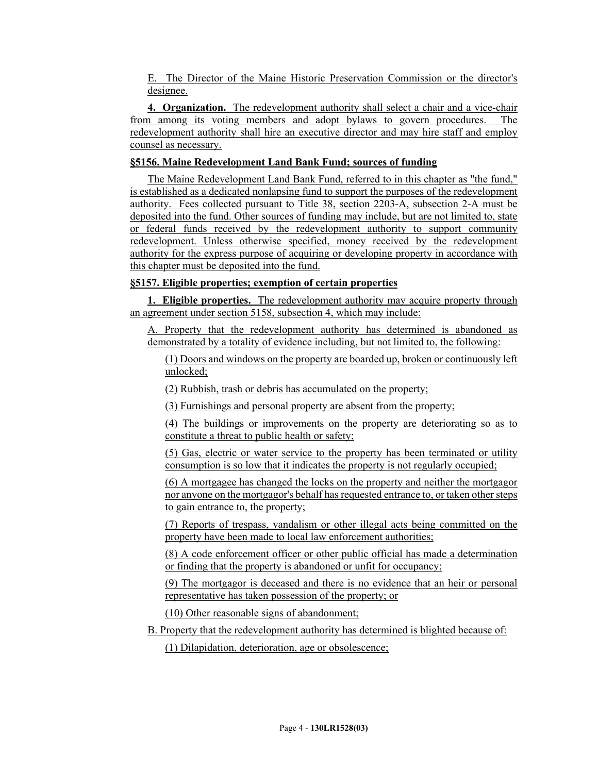E. The Director of the Maine Historic Preservation Commission or the director's designee.

**4. Organization.** The redevelopment authority shall select a chair and a vice-chair from among its voting members and adopt bylaws to govern procedures. The redevelopment authority shall hire an executive director and may hire staff and employ counsel as necessary.

# **§5156. Maine Redevelopment Land Bank Fund; sources of funding**

The Maine Redevelopment Land Bank Fund, referred to in this chapter as "the fund," is established as a dedicated nonlapsing fund to support the purposes of the redevelopment authority. Fees collected pursuant to Title 38, section 2203-A, subsection 2-A must be deposited into the fund. Other sources of funding may include, but are not limited to, state or federal funds received by the redevelopment authority to support community redevelopment. Unless otherwise specified, money received by the redevelopment authority for the express purpose of acquiring or developing property in accordance with this chapter must be deposited into the fund.

# **§5157. Eligible properties; exemption of certain properties**

**1. Eligible properties.** The redevelopment authority may acquire property through an agreement under section 5158, subsection 4, which may include:

A. Property that the redevelopment authority has determined is abandoned as demonstrated by a totality of evidence including, but not limited to, the following:

(1) Doors and windows on the property are boarded up, broken or continuously left unlocked;

(2) Rubbish, trash or debris has accumulated on the property;

(3) Furnishings and personal property are absent from the property;

(4) The buildings or improvements on the property are deteriorating so as to constitute a threat to public health or safety;

(5) Gas, electric or water service to the property has been terminated or utility consumption is so low that it indicates the property is not regularly occupied;

(6) A mortgagee has changed the locks on the property and neither the mortgagor nor anyone on the mortgagor's behalf has requested entrance to, or taken other steps to gain entrance to, the property;

(7) Reports of trespass, vandalism or other illegal acts being committed on the property have been made to local law enforcement authorities;

(8) A code enforcement officer or other public official has made a determination or finding that the property is abandoned or unfit for occupancy;

(9) The mortgagor is deceased and there is no evidence that an heir or personal representative has taken possession of the property; or

(10) Other reasonable signs of abandonment;

B. Property that the redevelopment authority has determined is blighted because of:

(1) Dilapidation, deterioration, age or obsolescence;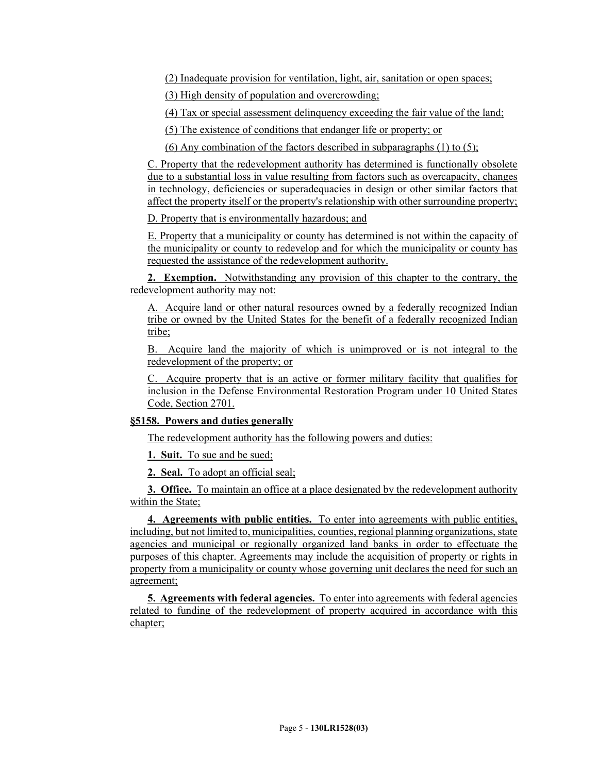(2) Inadequate provision for ventilation, light, air, sanitation or open spaces;

(3) High density of population and overcrowding;

(4) Tax or special assessment delinquency exceeding the fair value of the land;

(5) The existence of conditions that endanger life or property; or

(6) Any combination of the factors described in subparagraphs  $(1)$  to  $(5)$ ;

C. Property that the redevelopment authority has determined is functionally obsolete due to a substantial loss in value resulting from factors such as overcapacity, changes in technology, deficiencies or superadequacies in design or other similar factors that affect the property itself or the property's relationship with other surrounding property;

D. Property that is environmentally hazardous; and

E. Property that a municipality or county has determined is not within the capacity of the municipality or county to redevelop and for which the municipality or county has requested the assistance of the redevelopment authority.

**2. Exemption.** Notwithstanding any provision of this chapter to the contrary, the redevelopment authority may not:

A. Acquire land or other natural resources owned by a federally recognized Indian tribe or owned by the United States for the benefit of a federally recognized Indian tribe;

B. Acquire land the majority of which is unimproved or is not integral to the redevelopment of the property; or

C. Acquire property that is an active or former military facility that qualifies for inclusion in the Defense Environmental Restoration Program under 10 United States Code, Section 2701.

# **§5158. Powers and duties generally**

The redevelopment authority has the following powers and duties:

**1. Suit.** To sue and be sued;

**2. Seal.** To adopt an official seal;

**3. Office.** To maintain an office at a place designated by the redevelopment authority within the State;

**4. Agreements with public entities.** To enter into agreements with public entities, including, but not limited to, municipalities, counties, regional planning organizations, state agencies and municipal or regionally organized land banks in order to effectuate the purposes of this chapter. Agreements may include the acquisition of property or rights in property from a municipality or county whose governing unit declares the need for such an agreement;

**5. Agreements with federal agencies.** To enter into agreements with federal agencies related to funding of the redevelopment of property acquired in accordance with this chapter;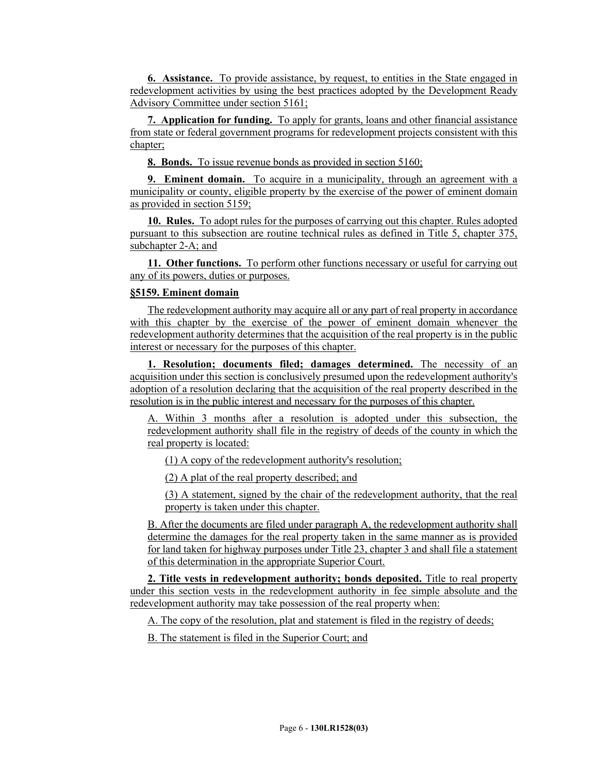**6. Assistance.** To provide assistance, by request, to entities in the State engaged in redevelopment activities by using the best practices adopted by the Development Ready Advisory Committee under section 5161;

**7. Application for funding.** To apply for grants, loans and other financial assistance from state or federal government programs for redevelopment projects consistent with this chapter;

**8. Bonds.** To issue revenue bonds as provided in section 5160;

**9. Eminent domain.** To acquire in a municipality, through an agreement with a municipality or county, eligible property by the exercise of the power of eminent domain as provided in section 5159;

**10. Rules.** To adopt rules for the purposes of carrying out this chapter. Rules adopted pursuant to this subsection are routine technical rules as defined in Title 5, chapter 375, subchapter 2-A; and

**11. Other functions.** To perform other functions necessary or useful for carrying out any of its powers, duties or purposes.

### **§5159. Eminent domain**

The redevelopment authority may acquire all or any part of real property in accordance with this chapter by the exercise of the power of eminent domain whenever the redevelopment authority determines that the acquisition of the real property is in the public interest or necessary for the purposes of this chapter.

**1. Resolution; documents filed; damages determined.** The necessity of an acquisition under this section is conclusively presumed upon the redevelopment authority's adoption of a resolution declaring that the acquisition of the real property described in the resolution is in the public interest and necessary for the purposes of this chapter.

A. Within 3 months after a resolution is adopted under this subsection, the redevelopment authority shall file in the registry of deeds of the county in which the real property is located:

(1) A copy of the redevelopment authority's resolution;

(2) A plat of the real property described; and

(3) A statement, signed by the chair of the redevelopment authority, that the real property is taken under this chapter.

B. After the documents are filed under paragraph A, the redevelopment authority shall determine the damages for the real property taken in the same manner as is provided for land taken for highway purposes under Title 23, chapter 3 and shall file a statement of this determination in the appropriate Superior Court.

**2. Title vests in redevelopment authority; bonds deposited.** Title to real property under this section vests in the redevelopment authority in fee simple absolute and the redevelopment authority may take possession of the real property when:

A. The copy of the resolution, plat and statement is filed in the registry of deeds;

B. The statement is filed in the Superior Court; and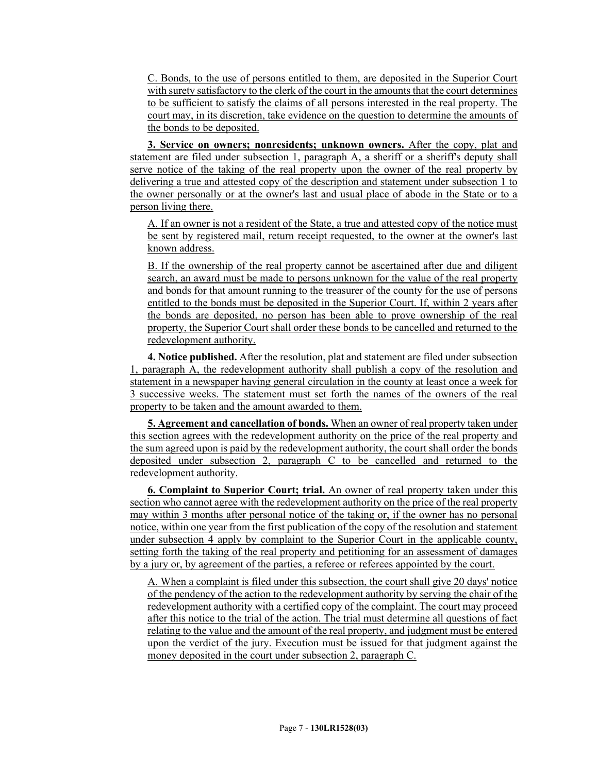C. Bonds, to the use of persons entitled to them, are deposited in the Superior Court with surety satisfactory to the clerk of the court in the amounts that the court determines to be sufficient to satisfy the claims of all persons interested in the real property. The court may, in its discretion, take evidence on the question to determine the amounts of the bonds to be deposited.

**3. Service on owners; nonresidents; unknown owners.** After the copy, plat and statement are filed under subsection 1, paragraph A, a sheriff or a sheriff's deputy shall serve notice of the taking of the real property upon the owner of the real property by delivering a true and attested copy of the description and statement under subsection 1 to the owner personally or at the owner's last and usual place of abode in the State or to a person living there.

A. If an owner is not a resident of the State, a true and attested copy of the notice must be sent by registered mail, return receipt requested, to the owner at the owner's last known address.

B. If the ownership of the real property cannot be ascertained after due and diligent search, an award must be made to persons unknown for the value of the real property and bonds for that amount running to the treasurer of the county for the use of persons entitled to the bonds must be deposited in the Superior Court. If, within 2 years after the bonds are deposited, no person has been able to prove ownership of the real property, the Superior Court shall order these bonds to be cancelled and returned to the redevelopment authority.

**4. Notice published.** After the resolution, plat and statement are filed under subsection 1, paragraph A, the redevelopment authority shall publish a copy of the resolution and statement in a newspaper having general circulation in the county at least once a week for 3 successive weeks. The statement must set forth the names of the owners of the real property to be taken and the amount awarded to them.

**5. Agreement and cancellation of bonds.** When an owner of real property taken under this section agrees with the redevelopment authority on the price of the real property and the sum agreed upon is paid by the redevelopment authority, the court shall order the bonds deposited under subsection 2, paragraph C to be cancelled and returned to the redevelopment authority.

**6. Complaint to Superior Court; trial.** An owner of real property taken under this section who cannot agree with the redevelopment authority on the price of the real property may within 3 months after personal notice of the taking or, if the owner has no personal notice, within one year from the first publication of the copy of the resolution and statement under subsection 4 apply by complaint to the Superior Court in the applicable county, setting forth the taking of the real property and petitioning for an assessment of damages by a jury or, by agreement of the parties, a referee or referees appointed by the court.

A. When a complaint is filed under this subsection, the court shall give 20 days' notice of the pendency of the action to the redevelopment authority by serving the chair of the redevelopment authority with a certified copy of the complaint. The court may proceed after this notice to the trial of the action. The trial must determine all questions of fact relating to the value and the amount of the real property, and judgment must be entered upon the verdict of the jury. Execution must be issued for that judgment against the money deposited in the court under subsection 2, paragraph C.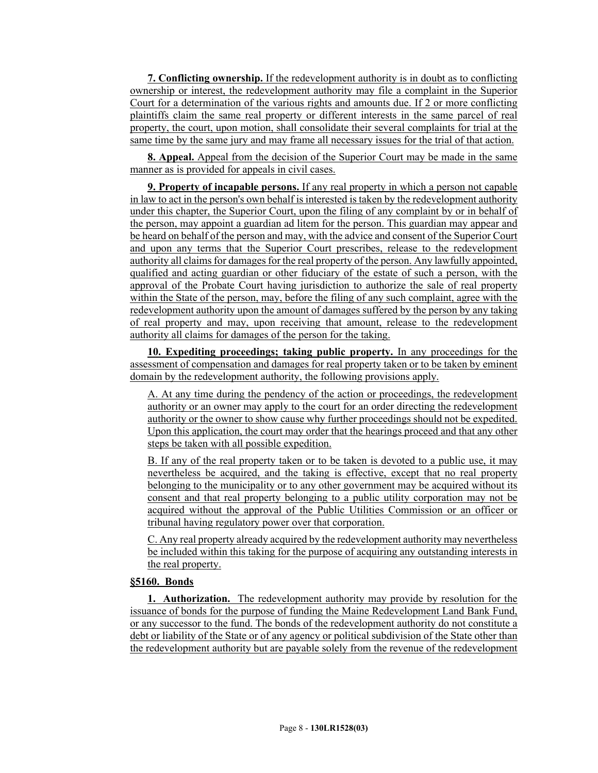**7. Conflicting ownership.** If the redevelopment authority is in doubt as to conflicting ownership or interest, the redevelopment authority may file a complaint in the Superior Court for a determination of the various rights and amounts due. If 2 or more conflicting plaintiffs claim the same real property or different interests in the same parcel of real property, the court, upon motion, shall consolidate their several complaints for trial at the same time by the same jury and may frame all necessary issues for the trial of that action.

**8. Appeal.** Appeal from the decision of the Superior Court may be made in the same manner as is provided for appeals in civil cases.

**9. Property of incapable persons.** If any real property in which a person not capable in law to act in the person's own behalf is interested is taken by the redevelopment authority under this chapter, the Superior Court, upon the filing of any complaint by or in behalf of the person, may appoint a guardian ad litem for the person. This guardian may appear and be heard on behalf of the person and may, with the advice and consent of the Superior Court and upon any terms that the Superior Court prescribes, release to the redevelopment authority all claims for damages for the real property of the person. Any lawfully appointed, qualified and acting guardian or other fiduciary of the estate of such a person, with the approval of the Probate Court having jurisdiction to authorize the sale of real property within the State of the person, may, before the filing of any such complaint, agree with the redevelopment authority upon the amount of damages suffered by the person by any taking of real property and may, upon receiving that amount, release to the redevelopment authority all claims for damages of the person for the taking.

**10. Expediting proceedings; taking public property.** In any proceedings for the assessment of compensation and damages for real property taken or to be taken by eminent domain by the redevelopment authority, the following provisions apply.

A. At any time during the pendency of the action or proceedings, the redevelopment authority or an owner may apply to the court for an order directing the redevelopment authority or the owner to show cause why further proceedings should not be expedited. Upon this application, the court may order that the hearings proceed and that any other steps be taken with all possible expedition.

B. If any of the real property taken or to be taken is devoted to a public use, it may nevertheless be acquired, and the taking is effective, except that no real property belonging to the municipality or to any other government may be acquired without its consent and that real property belonging to a public utility corporation may not be acquired without the approval of the Public Utilities Commission or an officer or tribunal having regulatory power over that corporation.

C. Any real property already acquired by the redevelopment authority may nevertheless be included within this taking for the purpose of acquiring any outstanding interests in the real property.

### **§5160. Bonds**

**1. Authorization.** The redevelopment authority may provide by resolution for the issuance of bonds for the purpose of funding the Maine Redevelopment Land Bank Fund, or any successor to the fund. The bonds of the redevelopment authority do not constitute a debt or liability of the State or of any agency or political subdivision of the State other than the redevelopment authority but are payable solely from the revenue of the redevelopment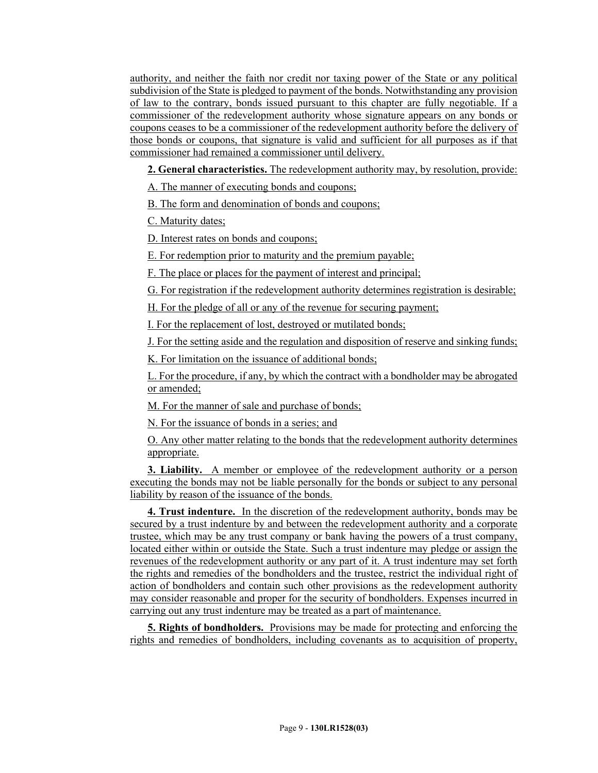authority, and neither the faith nor credit nor taxing power of the State or any political subdivision of the State is pledged to payment of the bonds. Notwithstanding any provision of law to the contrary, bonds issued pursuant to this chapter are fully negotiable. If a commissioner of the redevelopment authority whose signature appears on any bonds or coupons ceases to be a commissioner of the redevelopment authority before the delivery of those bonds or coupons, that signature is valid and sufficient for all purposes as if that commissioner had remained a commissioner until delivery.

**2. General characteristics.** The redevelopment authority may, by resolution, provide:

A. The manner of executing bonds and coupons;

B. The form and denomination of bonds and coupons;

C. Maturity dates;

D. Interest rates on bonds and coupons;

E. For redemption prior to maturity and the premium payable;

F. The place or places for the payment of interest and principal;

G. For registration if the redevelopment authority determines registration is desirable;

H. For the pledge of all or any of the revenue for securing payment;

I. For the replacement of lost, destroyed or mutilated bonds;

J. For the setting aside and the regulation and disposition of reserve and sinking funds;

K. For limitation on the issuance of additional bonds;

L. For the procedure, if any, by which the contract with a bondholder may be abrogated or amended;

M. For the manner of sale and purchase of bonds;

N. For the issuance of bonds in a series; and

O. Any other matter relating to the bonds that the redevelopment authority determines appropriate.

**3. Liability.** A member or employee of the redevelopment authority or a person executing the bonds may not be liable personally for the bonds or subject to any personal liability by reason of the issuance of the bonds.

**4. Trust indenture.** In the discretion of the redevelopment authority, bonds may be secured by a trust indenture by and between the redevelopment authority and a corporate trustee, which may be any trust company or bank having the powers of a trust company, located either within or outside the State. Such a trust indenture may pledge or assign the revenues of the redevelopment authority or any part of it. A trust indenture may set forth the rights and remedies of the bondholders and the trustee, restrict the individual right of action of bondholders and contain such other provisions as the redevelopment authority may consider reasonable and proper for the security of bondholders. Expenses incurred in carrying out any trust indenture may be treated as a part of maintenance.

**5. Rights of bondholders.** Provisions may be made for protecting and enforcing the rights and remedies of bondholders, including covenants as to acquisition of property,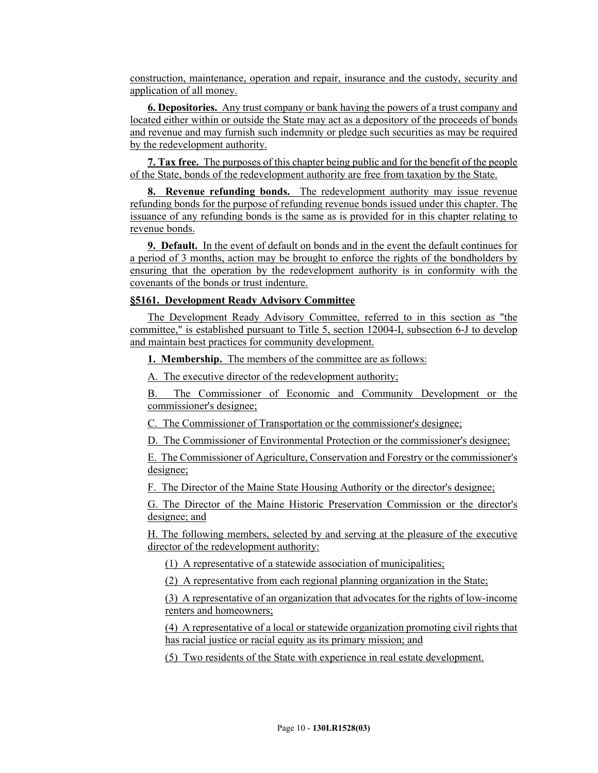construction, maintenance, operation and repair, insurance and the custody, security and application of all money.

**6. Depositories.** Any trust company or bank having the powers of a trust company and located either within or outside the State may act as a depository of the proceeds of bonds and revenue and may furnish such indemnity or pledge such securities as may be required by the redevelopment authority.

**7. Tax free.** The purposes of this chapter being public and for the benefit of the people of the State, bonds of the redevelopment authority are free from taxation by the State.

**8. Revenue refunding bonds.** The redevelopment authority may issue revenue refunding bonds for the purpose of refunding revenue bonds issued under this chapter. The issuance of any refunding bonds is the same as is provided for in this chapter relating to revenue bonds.

**9. Default.** In the event of default on bonds and in the event the default continues for a period of 3 months, action may be brought to enforce the rights of the bondholders by ensuring that the operation by the redevelopment authority is in conformity with the covenants of the bonds or trust indenture.

### **§5161. Development Ready Advisory Committee**

The Development Ready Advisory Committee, referred to in this section as "the committee," is established pursuant to Title 5, section 12004-I, subsection 6-J to develop and maintain best practices for community development.

**1. Membership.** The members of the committee are as follows:

A. The executive director of the redevelopment authority;

B. The Commissioner of Economic and Community Development or the commissioner's designee;

C. The Commissioner of Transportation or the commissioner's designee;

D. The Commissioner of Environmental Protection or the commissioner's designee;

E. The Commissioner of Agriculture, Conservation and Forestry or the commissioner's designee;

F. The Director of the Maine State Housing Authority or the director's designee;

G. The Director of the Maine Historic Preservation Commission or the director's designee; and

H. The following members, selected by and serving at the pleasure of the executive director of the redevelopment authority:

(1) A representative of a statewide association of municipalities;

(2) A representative from each regional planning organization in the State;

(3) A representative of an organization that advocates for the rights of low-income renters and homeowners;

(4) A representative of a local or statewide organization promoting civil rights that has racial justice or racial equity as its primary mission; and

(5) Two residents of the State with experience in real estate development.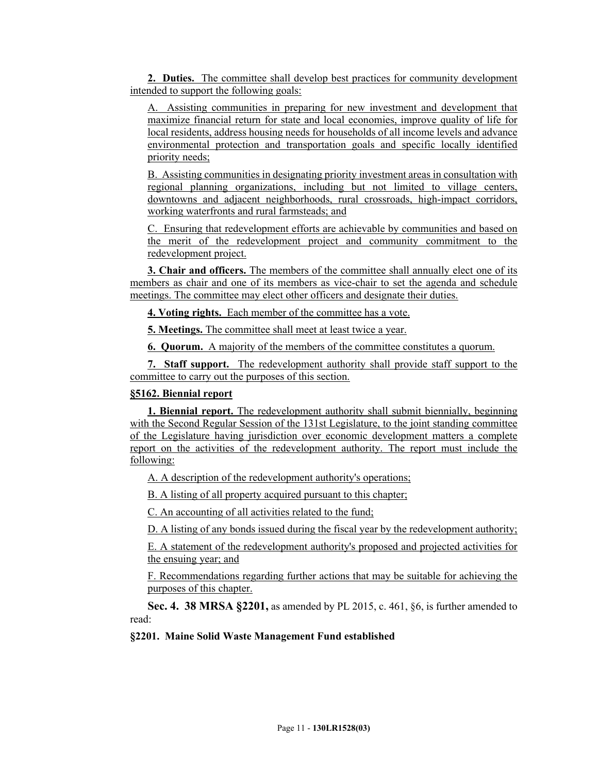**2. Duties.** The committee shall develop best practices for community development intended to support the following goals:

A. Assisting communities in preparing for new investment and development that maximize financial return for state and local economies, improve quality of life for local residents, address housing needs for households of all income levels and advance environmental protection and transportation goals and specific locally identified priority needs;

B. Assisting communities in designating priority investment areas in consultation with regional planning organizations, including but not limited to village centers, downtowns and adjacent neighborhoods, rural crossroads, high-impact corridors, working waterfronts and rural farmsteads; and

C. Ensuring that redevelopment efforts are achievable by communities and based on the merit of the redevelopment project and community commitment to the redevelopment project.

**3. Chair and officers.** The members of the committee shall annually elect one of its members as chair and one of its members as vice-chair to set the agenda and schedule meetings. The committee may elect other officers and designate their duties.

**4. Voting rights.** Each member of the committee has a vote.

**5. Meetings.** The committee shall meet at least twice a year.

**6. Quorum.** A majority of the members of the committee constitutes a quorum.

**7. Staff support.** The redevelopment authority shall provide staff support to the committee to carry out the purposes of this section.

# **§5162. Biennial report**

**1. Biennial report.** The redevelopment authority shall submit biennially, beginning with the Second Regular Session of the 131st Legislature, to the joint standing committee of the Legislature having jurisdiction over economic development matters a complete report on the activities of the redevelopment authority. The report must include the following:

A. A description of the redevelopment authority's operations;

B. A listing of all property acquired pursuant to this chapter;

C. An accounting of all activities related to the fund;

D. A listing of any bonds issued during the fiscal year by the redevelopment authority;

E. A statement of the redevelopment authority's proposed and projected activities for the ensuing year; and

F. Recommendations regarding further actions that may be suitable for achieving the purposes of this chapter.

**Sec. 4. 38 MRSA §2201,** as amended by PL 2015, c. 461, §6, is further amended to read:

#### **§2201. Maine Solid Waste Management Fund established**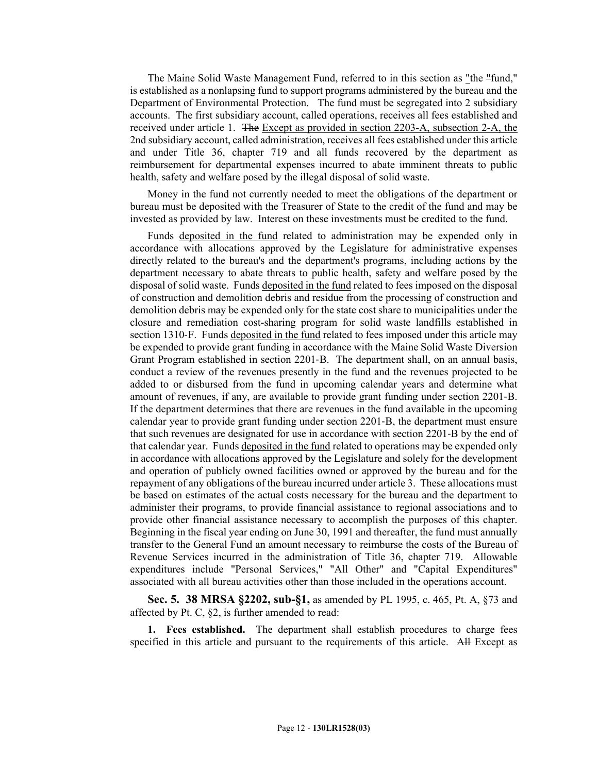The Maine Solid Waste Management Fund, referred to in this section as "the "fund," is established as a nonlapsing fund to support programs administered by the bureau and the Department of Environmental Protection. The fund must be segregated into 2 subsidiary accounts. The first subsidiary account, called operations, receives all fees established and received under article 1. The Except as provided in section 2203-A, subsection 2-A, the 2nd subsidiary account, called administration, receives all fees established under this article and under Title 36, chapter 719 and all funds recovered by the department as reimbursement for departmental expenses incurred to abate imminent threats to public health, safety and welfare posed by the illegal disposal of solid waste.

Money in the fund not currently needed to meet the obligations of the department or bureau must be deposited with the Treasurer of State to the credit of the fund and may be invested as provided by law. Interest on these investments must be credited to the fund.

Funds deposited in the fund related to administration may be expended only in accordance with allocations approved by the Legislature for administrative expenses directly related to the bureau's and the department's programs, including actions by the department necessary to abate threats to public health, safety and welfare posed by the disposal of solid waste. Funds deposited in the fund related to fees imposed on the disposal of construction and demolition debris and residue from the processing of construction and demolition debris may be expended only for the state cost share to municipalities under the closure and remediation cost-sharing program for solid waste landfills established in section 1310–F. Funds deposited in the fund related to fees imposed under this article may be expended to provide grant funding in accordance with the Maine Solid Waste Diversion Grant Program established in section 2201‑B. The department shall, on an annual basis, conduct a review of the revenues presently in the fund and the revenues projected to be added to or disbursed from the fund in upcoming calendar years and determine what amount of revenues, if any, are available to provide grant funding under section 2201‑B. If the department determines that there are revenues in the fund available in the upcoming calendar year to provide grant funding under section 2201‑B, the department must ensure that such revenues are designated for use in accordance with section 2201‑B by the end of that calendar year. Funds deposited in the fund related to operations may be expended only in accordance with allocations approved by the Legislature and solely for the development and operation of publicly owned facilities owned or approved by the bureau and for the repayment of any obligations of the bureau incurred under article 3. These allocations must be based on estimates of the actual costs necessary for the bureau and the department to administer their programs, to provide financial assistance to regional associations and to provide other financial assistance necessary to accomplish the purposes of this chapter. Beginning in the fiscal year ending on June 30, 1991 and thereafter, the fund must annually transfer to the General Fund an amount necessary to reimburse the costs of the Bureau of Revenue Services incurred in the administration of Title 36, chapter 719. Allowable expenditures include "Personal Services," "All Other" and "Capital Expenditures" associated with all bureau activities other than those included in the operations account.

**Sec. 5. 38 MRSA §2202, sub-§1,** as amended by PL 1995, c. 465, Pt. A, §73 and affected by Pt. C, §2, is further amended to read:

**1. Fees established.** The department shall establish procedures to charge fees specified in this article and pursuant to the requirements of this article. All Except as